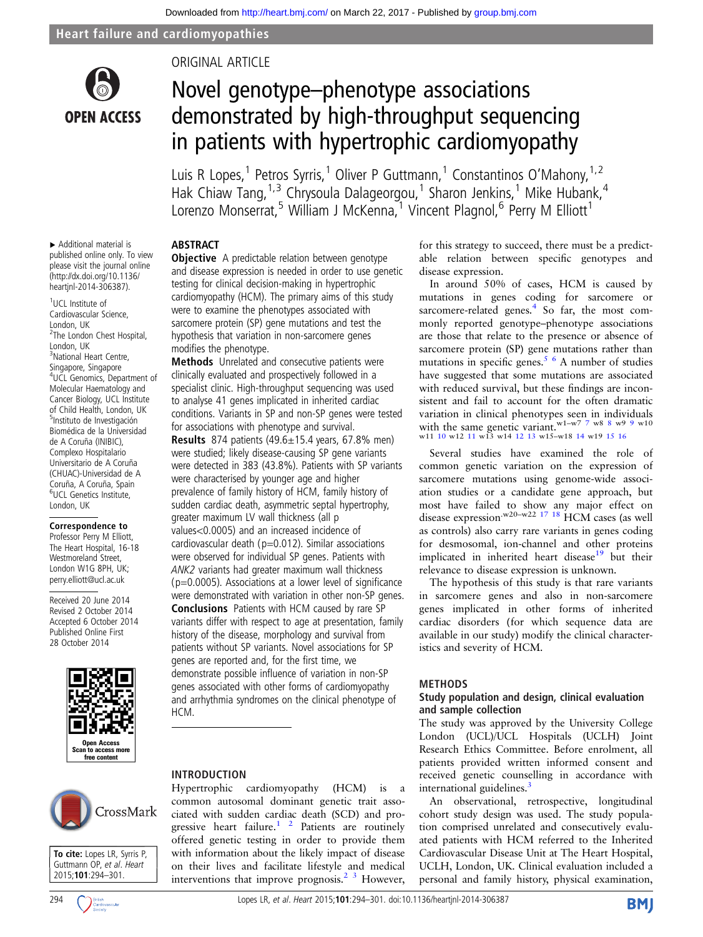

# ORIGINAL ARTICLE

# Novel genotype–phenotype associations demonstrated by high-throughput sequencing in patients with hypertrophic cardiomyopathy

Luis R Lopes,<sup>1</sup> Petros Syrris,<sup>1</sup> Oliver P Guttmann,<sup>1</sup> Constantinos O'Mahony,<sup>1,2</sup> Hak Chiaw Tang, <sup>1, 3</sup> Chrysoula Dalageorgou, <sup>1</sup> Sharon Jenkins, <sup>1</sup> Mike Hubank, <sup>4</sup> Lorenzo Monserrat,<sup>5</sup> William J McKenna,<sup>1</sup> Vincent Plagnol,<sup>6</sup> Perry M Elliott<sup>1</sup>

# ABSTRACT

▸ Additional material is published online only. To view please visit the journal online [\(http://dx.doi.org/10.1136/](http://dx.doi.org/10.1136/heartjnl-2014-306387) [heartjnl-2014-306387](http://dx.doi.org/10.1136/heartjnl-2014-306387)).

1 UCL Institute of Cardiovascular Science, London, UK <sup>2</sup>The London Chest Hospital, London, UK 3 National Heart Centre, Singapore, Singapore 4 UCL Genomics, Department of Molecular Haematology and Cancer Biology, UCL Institute of Child Health, London, UK 5 Instituto de Investigación Biomédica de la Universidad de A Coruña (INIBIC), Complexo Hospitalario Universitario de A Coruña (CHUAC)-Universidad de A Coruña, A Coruña, Spain 6 UCL Genetics Institute, London, UK

Correspondence to Professor Perry M Elliott, The Heart Hospital, 16-18 Westmoreland Street, London W1G 8PH, UK; perry.elliott@ucl.ac.uk

Received 20 June 2014 Revised 2 October 2014 Accepted 6 October 2014 Published Online First 28 October 2014



**Objective** A predictable relation between genotype and disease expression is needed in order to use genetic testing for clinical decision-making in hypertrophic cardiomyopathy (HCM). The primary aims of this study were to examine the phenotypes associated with sarcomere protein (SP) gene mutations and test the hypothesis that variation in non-sarcomere genes modifies the phenotype.

Methods Unrelated and consecutive patients were clinically evaluated and prospectively followed in a specialist clinic. High-throughput sequencing was used to analyse 41 genes implicated in inherited cardiac conditions. Variants in SP and non-SP genes were tested for associations with phenotype and survival. **Results** 874 patients  $(49.6 \pm 15.4 \text{ years}, 67.8\% \text{ men})$ were studied; likely disease-causing SP gene variants

were detected in 383 (43.8%). Patients with SP variants were characterised by younger age and higher prevalence of family history of HCM, family history of sudden cardiac death, asymmetric septal hypertrophy, greater maximum LV wall thickness (all p values<0.0005) and an increased incidence of cardiovascular death ( $p=0.012$ ). Similar associations were observed for individual SP genes. Patients with ANK2 variants had greater maximum wall thickness  $(p=0.0005)$ . Associations at a lower level of significance were demonstrated with variation in other non-SP genes. Conclusions Patients with HCM caused by rare SP variants differ with respect to age at presentation, family history of the disease, morphology and survival from patients without SP variants. Novel associations for SP genes are reported and, for the first time, we demonstrate possible influence of variation in non-SP genes associated with other forms of cardiomyopathy and arrhythmia syndromes on the clinical phenotype of HCM.

# CrossMark



# INTRODUCTION

Hypertrophic cardiomyopathy (HCM) is a common autosomal dominant genetic trait associated with sudden cardiac death (SCD) and progressive heart failure.<sup>1</sup> <sup>2</sup> Patients are routinely offered genetic testing in order to provide them with information about the likely impact of disease on their lives and facilitate lifestyle and medical interventions that improve prognosis.<sup>2</sup>  $\frac{3}{3}$  However, for this strategy to succeed, there must be a predictable relation between specific genotypes and disease expression.

In around 50% of cases, HCM is caused by mutations in genes coding for sarcomere or sarcomere-related genes. $4\,$  So far, the most commonly reported genotype–phenotype associations are those that relate to the presence or absence of sarcomere protein (SP) gene mutations rather than mutations in specific genes.<sup>5  $\cdot$ </sup> A number of studies have suggested that some mutations are associated with reduced survival, but these findings are inconsistent and fail to account for the often dramatic variation in clinical phenotypes seen in individuals with the same genetic variant.<sup>w1-w[7](#page-6-0)</sup> 7 w[8](#page-6-0) 8 w[9](#page-6-0) 9 w10 w11 [10](#page-6-0) w12 [11](#page-6-0) w13 w14 [12 13](#page-6-0) w15-w18 [14](#page-6-0) w19 [15 16](#page-6-0)

Several studies have examined the role of common genetic variation on the expression of sarcomere mutations using genome-wide association studies or a candidate gene approach, but most have failed to show any major effect on disease expression<sup>.w20-w22</sup> <sup>17</sup> <sup>18</sup> HCM cases (as well as controls) also carry rare variants in genes coding for desmosomal, ion-channel and other proteins implicated in inherited heart disease $19$  but their relevance to disease expression is unknown.

The hypothesis of this study is that rare variants in sarcomere genes and also in non-sarcomere genes implicated in other forms of inherited cardiac disorders (for which sequence data are available in our study) modify the clinical characteristics and severity of HCM.

#### METHODS

#### Study population and design, clinical evaluation and sample collection

The study was approved by the University College London (UCL)/UCL Hospitals (UCLH) Joint Research Ethics Committee. Before enrolment, all patients provided written informed consent and received genetic counselling in accordance with international guidelines.<sup>[3](#page-6-0)</sup>

An observational, retrospective, longitudinal cohort study design was used. The study population comprised unrelated and consecutively evaluated patients with HCM referred to the Inherited Cardiovascular Disease Unit at The Heart Hospital, UCLH, London, UK. Clinical evaluation included a personal and family history, physical examination,

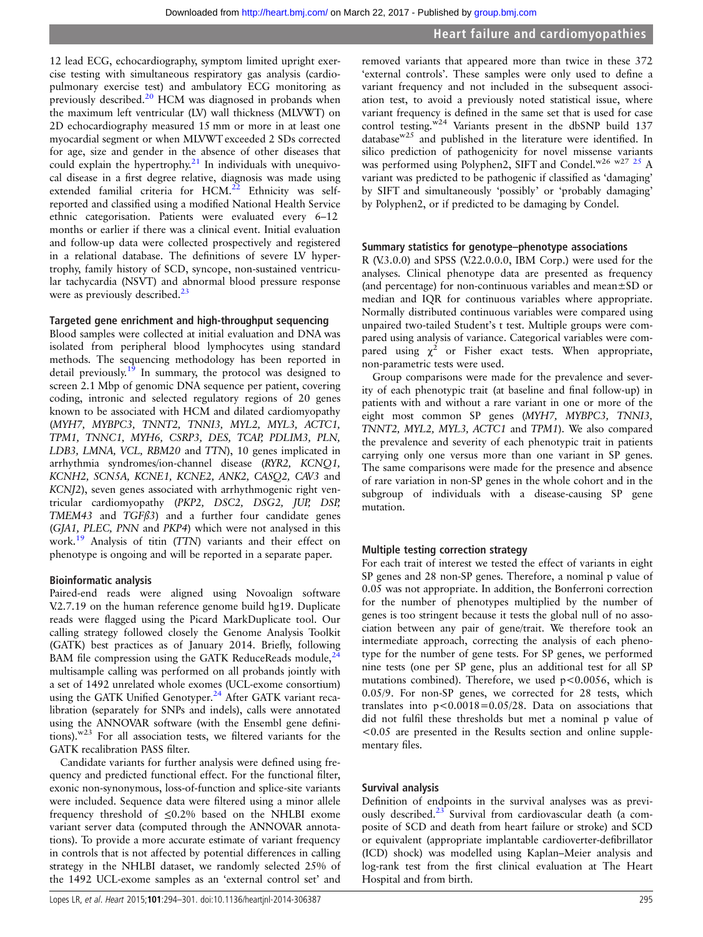12 lead ECG, echocardiography, symptom limited upright exercise testing with simultaneous respiratory gas analysis (cardiopulmonary exercise test) and ambulatory ECG monitoring as previously described.<sup>[20](#page-6-0)</sup> HCM was diagnosed in probands when the maximum left ventricular (LV) wall thickness (MLVWT) on 2D echocardiography measured 15 mm or more in at least one myocardial segment or when MLVWT exceeded 2 SDs corrected for age, size and gender in the absence of other diseases that could explain the hypertrophy. $21$  In individuals with unequivocal disease in a first degree relative, diagnosis was made using extended familial criteria for  $HCM<sup>22</sup>$  Ethnicity was selfreported and classified using a modified National Health Service ethnic categorisation. Patients were evaluated every 6–12 months or earlier if there was a clinical event. Initial evaluation and follow-up data were collected prospectively and registered in a relational database. The definitions of severe LV hypertrophy, family history of SCD, syncope, non-sustained ventricular tachycardia (NSVT) and abnormal blood pressure response were as previously described. $^{23}$ 

# Targeted gene enrichment and high-throughput sequencing

Blood samples were collected at initial evaluation and DNA was isolated from peripheral blood lymphocytes using standard methods. The sequencing methodology has been reported in detail previously.<sup>[19](#page-6-0)</sup> In summary, the protocol was designed to screen 2.1 Mbp of genomic DNA sequence per patient, covering coding, intronic and selected regulatory regions of 20 genes known to be associated with HCM and dilated cardiomyopathy (MYH7, MYBPC3, TNNT2, TNNI3, MYL2, MYL3, ACTC1, TPM1, TNNC1, MYH6, CSRP3, DES, TCAP, PDLIM3, PLN, LDB3, LMNA, VCL, RBM20 and TTN), 10 genes implicated in arrhythmia syndromes/ion-channel disease (RYR2, KCNQ1, KCNH2, SCN5A, KCNE1, KCNE2, ANK2, CASQ2, CAV3 and KCNJ2), seven genes associated with arrhythmogenic right ventricular cardiomyopathy (PKP2, DSC2, DSG2, JUP, DSP, TMEM43 and TGFß3) and a further four candidate genes (GJA1, PLEC, PNN and PKP4) which were not analysed in this work.<sup>19</sup> Analysis of titin (TTN) variants and their effect on phenotype is ongoing and will be reported in a separate paper.

# Bioinformatic analysis

Paired-end reads were aligned using Novoalign software V.2.7.19 on the human reference genome build hg19. Duplicate reads were flagged using the Picard MarkDuplicate tool. Our calling strategy followed closely the Genome Analysis Toolkit (GATK) best practices as of January 2014. Briefly, following BAM file compression using the GATK ReduceReads module, $24$ multisample calling was performed on all probands jointly with a set of 1492 unrelated whole exomes (UCL-exome consortium) using the GATK Unified Genotyper.<sup>[24](#page-7-0)</sup> After GATK variant recalibration (separately for SNPs and indels), calls were annotated using the ANNOVAR software (with the Ensembl gene definitions).w23 For all association tests, we filtered variants for the GATK recalibration PASS filter.

Candidate variants for further analysis were defined using frequency and predicted functional effect. For the functional filter, exonic non-synonymous, loss-of-function and splice-site variants were included. Sequence data were filtered using a minor allele frequency threshold of  $\leq 0.2\%$  based on the NHLBI exome variant server data (computed through the ANNOVAR annotations). To provide a more accurate estimate of variant frequency in controls that is not affected by potential differences in calling strategy in the NHLBI dataset, we randomly selected 25% of the 1492 UCL-exome samples as an 'external control set' and

removed variants that appeared more than twice in these 372 'external controls'. These samples were only used to define a variant frequency and not included in the subsequent association test, to avoid a previously noted statistical issue, where variant frequency is defined in the same set that is used for case control testing.<sup>w24</sup> Variants present in the dbSNP build 137 database $w^{25}$  and published in the literature were identified. In silico prediction of pathogenicity for novel missense variants was performed using Polyphen2, SIFT and Condel.<sup>w26 w27 [25](#page-7-0)</sup> A variant was predicted to be pathogenic if classified as 'damaging' by SIFT and simultaneously 'possibly' or 'probably damaging' by Polyphen2, or if predicted to be damaging by Condel.

# Summary statistics for genotype–phenotype associations

R (V.3.0.0) and SPSS (V.22.0.0.0, IBM Corp.) were used for the analyses. Clinical phenotype data are presented as frequency (and percentage) for non-continuous variables and mean±SD or median and IQR for continuous variables where appropriate. Normally distributed continuous variables were compared using unpaired two-tailed Student's t test. Multiple groups were compared using analysis of variance. Categorical variables were compared using  $\chi^2$  or Fisher exact tests. When appropriate, non-parametric tests were used.

Group comparisons were made for the prevalence and severity of each phenotypic trait (at baseline and final follow-up) in patients with and without a rare variant in one or more of the eight most common SP genes (MYH7, MYBPC3, TNNI3, TNNT2, MYL2, MYL3, ACTC1 and TPM1). We also compared the prevalence and severity of each phenotypic trait in patients carrying only one versus more than one variant in SP genes. The same comparisons were made for the presence and absence of rare variation in non-SP genes in the whole cohort and in the subgroup of individuals with a disease-causing SP gene mutation.

# Multiple testing correction strategy

For each trait of interest we tested the effect of variants in eight SP genes and 28 non-SP genes. Therefore, a nominal p value of 0.05 was not appropriate. In addition, the Bonferroni correction for the number of phenotypes multiplied by the number of genes is too stringent because it tests the global null of no association between any pair of gene/trait. We therefore took an intermediate approach, correcting the analysis of each phenotype for the number of gene tests. For SP genes, we performed nine tests (one per SP gene, plus an additional test for all SP mutations combined). Therefore, we used  $p < 0.0056$ , which is 0.05/9. For non-SP genes, we corrected for 28 tests, which translates into  $p < 0.0018 = 0.05/28$ . Data on associations that did not fulfil these thresholds but met a nominal p value of <0.05 are presented in the Results section and online supplementary files.

# Survival analysis

Definition of endpoints in the survival analyses was as previously described.<sup>23</sup> Survival from cardiovascular death (a composite of SCD and death from heart failure or stroke) and SCD or equivalent (appropriate implantable cardioverter-defibrillator (ICD) shock) was modelled using Kaplan–Meier analysis and log-rank test from the first clinical evaluation at The Heart Hospital and from birth.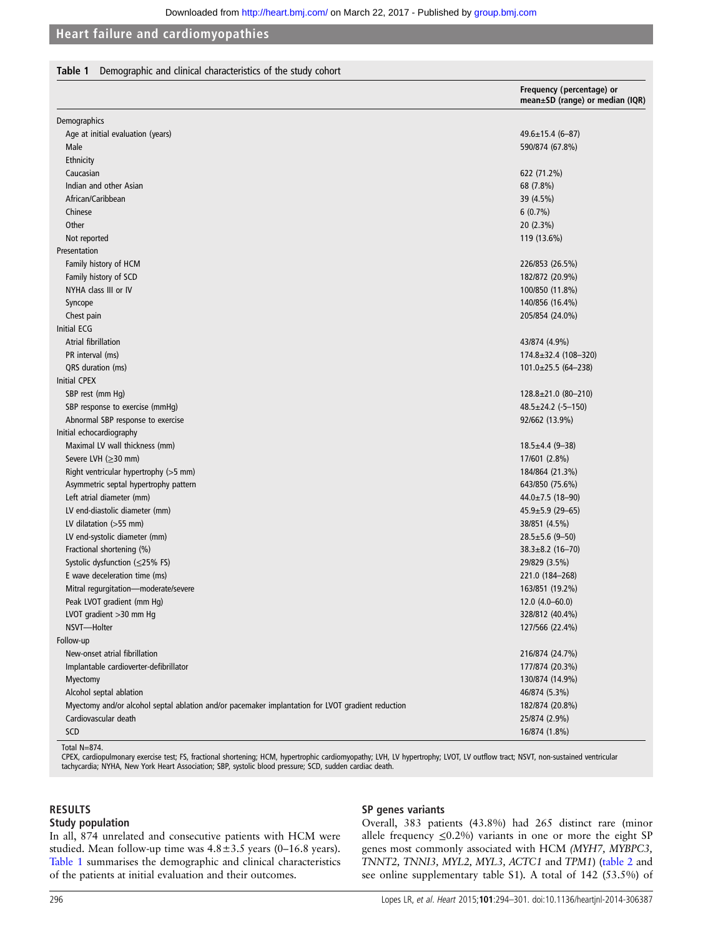# Table 1 Demographic and clinical characteristics of the study cohort

|                                                                                                   | Frequency (percentage) or<br>mean±SD (range) or median (IQR) |
|---------------------------------------------------------------------------------------------------|--------------------------------------------------------------|
| Demographics                                                                                      |                                                              |
| Age at initial evaluation (years)                                                                 | $49.6 \pm 15.4$ (6-87)                                       |
| Male                                                                                              | 590/874 (67.8%)                                              |
| Ethnicity                                                                                         |                                                              |
| Caucasian                                                                                         | 622 (71.2%)                                                  |
| Indian and other Asian                                                                            | 68 (7.8%)                                                    |
| African/Caribbean                                                                                 | 39 (4.5%)                                                    |
| Chinese                                                                                           | $6(0.7\%)$                                                   |
| Other                                                                                             | 20 (2.3%)                                                    |
| Not reported                                                                                      | 119 (13.6%)                                                  |
| Presentation                                                                                      |                                                              |
| Family history of HCM                                                                             | 226/853 (26.5%)                                              |
| Family history of SCD                                                                             | 182/872 (20.9%)                                              |
| NYHA class III or IV                                                                              | 100/850 (11.8%)                                              |
| Syncope                                                                                           | 140/856 (16.4%)                                              |
| Chest pain                                                                                        | 205/854 (24.0%)                                              |
| <b>Initial ECG</b>                                                                                |                                                              |
| Atrial fibrillation                                                                               | 43/874 (4.9%)                                                |
| PR interval (ms)                                                                                  | 174.8±32.4 (108-320)                                         |
| QRS duration (ms)                                                                                 | $101.0 \pm 25.5$ (64-238)                                    |
| <b>Initial CPEX</b>                                                                               |                                                              |
| SBP rest (mm Hg)                                                                                  | 128.8±21.0 (80-210)                                          |
| SBP response to exercise (mmHg)                                                                   | $48.5 \pm 24.2$ (-5-150)                                     |
| Abnormal SBP response to exercise                                                                 | 92/662 (13.9%)                                               |
| Initial echocardiography                                                                          |                                                              |
| Maximal LV wall thickness (mm)                                                                    | $18.5 \pm 4.4$ (9-38)                                        |
| Severe LVH $(\geq)30$ mm)                                                                         | 17/601 (2.8%)                                                |
| Right ventricular hypertrophy (>5 mm)                                                             | 184/864 (21.3%)                                              |
| Asymmetric septal hypertrophy pattern                                                             | 643/850 (75.6%)                                              |
| Left atrial diameter (mm)                                                                         | $44.0 \pm 7.5$ (18-90)                                       |
| LV end-diastolic diameter (mm)                                                                    | $45.9 \pm 5.9$ (29-65)                                       |
| LV dilatation $(>55$ mm)                                                                          | 38/851 (4.5%)                                                |
| LV end-systolic diameter (mm)                                                                     | $28.5 \pm 5.6$ (9-50)                                        |
| Fractional shortening (%)                                                                         | $38.3 \pm 8.2$ (16-70)                                       |
| Systolic dysfunction (≤25% FS)                                                                    | 29/829 (3.5%)                                                |
| E wave deceleration time (ms)                                                                     | 221.0 (184-268)                                              |
| Mitral regurgitation-moderate/severe                                                              | 163/851 (19.2%)                                              |
| Peak LVOT gradient (mm Hg)                                                                        | $12.0(4.0 - 60.0)$                                           |
| LVOT gradient >30 mm Hg                                                                           | 328/812 (40.4%)                                              |
| NSVT-Holter                                                                                       | 127/566 (22.4%)                                              |
| Follow-up                                                                                         |                                                              |
| New-onset atrial fibrillation                                                                     | 216/874 (24.7%)                                              |
| Implantable cardioverter-defibrillator                                                            | 177/874 (20.3%)                                              |
| Myectomy                                                                                          | 130/874 (14.9%)                                              |
| Alcohol septal ablation                                                                           | 46/874 (5.3%)                                                |
| Myectomy and/or alcohol septal ablation and/or pacemaker implantation for LVOT gradient reduction | 182/874 (20.8%)                                              |
| Cardiovascular death                                                                              | 25/874 (2.9%)                                                |
| SCD                                                                                               | 16/874 (1.8%)                                                |
| $T_{n+1}$ $N_{-}$ 074                                                                             |                                                              |

Total N=874.<br>CPEX, cardiopulmonary exercise test; FS, fractional shortening; HCM, hypertrophic cardiomyopathy; LVH, LV hypertrophy; LVOT, LV outflow tract; NSVT, non-sustained ventricular tachycardia; NYHA, New York Heart Association; SBP, systolic blood pressure; SCD, sudden cardiac death.

#### RESULTS

#### Study population

In all, 874 unrelated and consecutive patients with HCM were studied. Mean follow-up time was  $4.8 \pm 3.5$  years (0–16.8 years). Table 1 summarises the demographic and clinical characteristics of the patients at initial evaluation and their outcomes.

# SP genes variants

Overall, 383 patients (43.8%) had 265 distinct rare (minor allele frequency  $\leq 0.2\%$ ) variants in one or more the eight SP genes most commonly associated with HCM (MYH7, MYBPC3, TNNT2, TNNI3, MYL2, MYL3, ACTC1 and TPM1) ([table 2](#page-3-0) and see online [supplementary table](http://heart.bmj.com/lookup/suppl/doi:10.1136/heartjnl-2014-306387/-/DC1) S1). A total of 142 (53.5%) of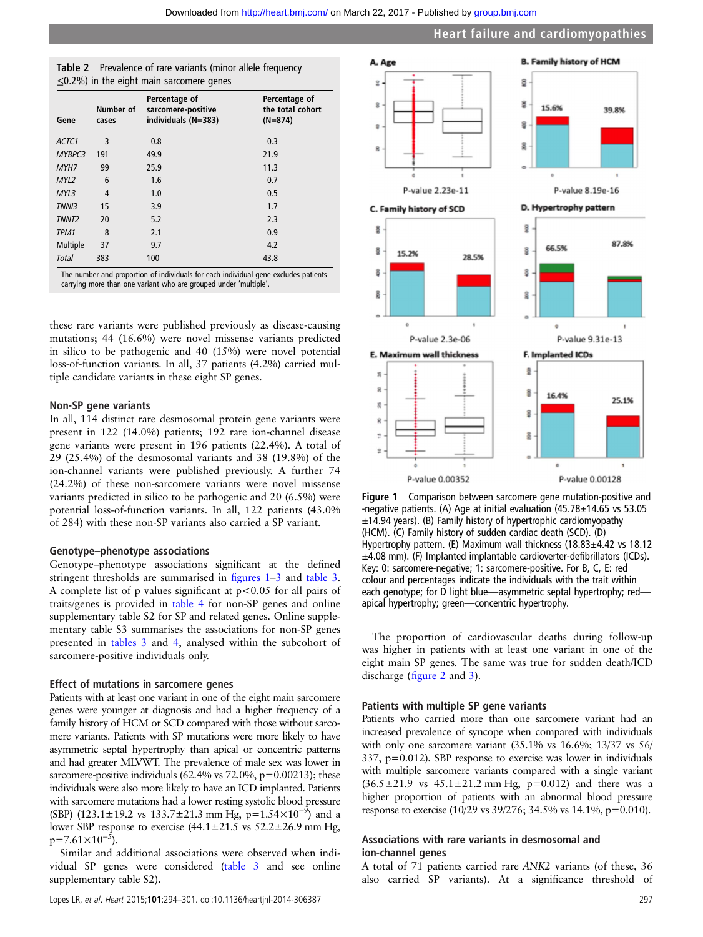<span id="page-3-0"></span>

| Table 2 Prevalence of rare variants (minor allele frequency |
|-------------------------------------------------------------|
| $\leq$ 0.2%) in the eight main sarcomere genes              |

| Gene              | Number of<br>cases | Percentage of<br>sarcomere-positive<br>individuals (N=383) | Percentage of<br>the total cohort<br>$(N=874)$ |
|-------------------|--------------------|------------------------------------------------------------|------------------------------------------------|
| ACTC1             | 3                  | 0.8                                                        | 0.3                                            |
| MYBPC3            | 191                | 49.9                                                       | 21.9                                           |
| MYH7              | 99                 | 25.9                                                       | 11.3                                           |
| MYL2              | 6                  | 1.6                                                        | 0.7                                            |
| MYL3              | $\overline{4}$     | 1.0                                                        | 0.5                                            |
| <b>TNNI3</b>      | 15                 | 3.9                                                        | 1.7                                            |
| TNNT <sub>2</sub> | 20                 | 5.2                                                        | 2.3                                            |
| TPM1              | 8                  | 2.1                                                        | 0.9                                            |
| Multiple          | 37                 | 9.7                                                        | 4.2                                            |
| <b>Total</b>      | 383                | 100                                                        | 43.8                                           |

The number and proportion of individuals for each individual gene excludes patients carrying more than one variant who are grouped under 'multiple'.

these rare variants were published previously as disease-causing mutations; 44 (16.6%) were novel missense variants predicted in silico to be pathogenic and 40 (15%) were novel potential loss-of-function variants. In all, 37 patients (4.2%) carried multiple candidate variants in these eight SP genes.

#### Non-SP gene variants

In all, 114 distinct rare desmosomal protein gene variants were present in 122 (14.0%) patients; 192 rare ion-channel disease gene variants were present in 196 patients (22.4%). A total of 29 (25.4%) of the desmosomal variants and 38 (19.8%) of the ion-channel variants were published previously. A further 74 (24.2%) of these non-sarcomere variants were novel missense variants predicted in silico to be pathogenic and 20 (6.5%) were potential loss-of-function variants. In all, 122 patients (43.0% of 284) with these non-SP variants also carried a SP variant.

#### Genotype–phenotype associations

Genotype–phenotype associations significant at the defined stringent thresholds are summarised in figures 1–[3](#page-4-0) and [table 3](#page-5-0). A complete list of p values significant at p<0.05 for all pairs of traits/genes is provided in [table 4](#page-5-0) for non-SP genes and online supplementary table S2 for SP and related genes. Online supplementary table S3 summarises the associations for non-SP genes presented in [tables 3](#page-5-0) and [4,](#page-5-0) analysed within the subcohort of sarcomere-positive individuals only.

#### Effect of mutations in sarcomere genes

Patients with at least one variant in one of the eight main sarcomere genes were younger at diagnosis and had a higher frequency of a family history of HCM or SCD compared with those without sarcomere variants. Patients with SP mutations were more likely to have asymmetric septal hypertrophy than apical or concentric patterns and had greater MLVWT. The prevalence of male sex was lower in sarcomere-positive individuals  $(62.4\% \text{ vs } 72.0\%, \text{p} = 0.00213)$ ; these individuals were also more likely to have an ICD implanted. Patients with sarcomere mutations had a lower resting systolic blood pressure (SBP) (123.1±19.2 vs 133.7±21.3 mm Hg, p=1.54×10<sup>-9</sup>) and a lower SBP response to exercise  $(44.1 \pm 21.5 \text{ vs } 52.2 \pm 26.9 \text{ mm Hg})$  $p=7.61\times10^{-5}$ ).

Similar and additional associations were observed when individual SP genes were considered ([table 3](#page-5-0) and see online [supplementary table](http://heart.bmj.com/lookup/suppl/doi:10.1136/heartjnl-2014-306387/-/DC1) S2).



Figure 1 Comparison between sarcomere gene mutation-positive and -negative patients. (A) Age at initial evaluation (45.78±14.65 vs 53.05  $\pm$ 14.94 years). (B) Family history of hypertrophic cardiomyopathy (HCM). (C) Family history of sudden cardiac death (SCD). (D) Hypertrophy pattern. (E) Maximum wall thickness (18.83±4.42 vs 18.12 ±4.08 mm). (F) Implanted implantable cardioverter-defibrillators (ICDs). Key: 0: sarcomere-negative; 1: sarcomere-positive. For B, C, E: red colour and percentages indicate the individuals with the trait within each genotype; for D light blue—asymmetric septal hypertrophy; red apical hypertrophy; green—concentric hypertrophy.

The proportion of cardiovascular deaths during follow-up was higher in patients with at least one variant in one of the eight main SP genes. The same was true for sudden death/ICD discharge (fi[gure 2](#page-4-0) and [3](#page-4-0)).

#### Patients with multiple SP gene variants

Patients who carried more than one sarcomere variant had an increased prevalence of syncope when compared with individuals with only one sarcomere variant  $(35.1\% \text{ vs } 16.6\%; 13/37 \text{ vs } 56/$ 337, p=0.012). SBP response to exercise was lower in individuals with multiple sarcomere variants compared with a single variant  $(36.5 \pm 21.9 \text{ vs } 45.1 \pm 21.2 \text{ mm Hg}, \text{ p=0.012})$  and there was a higher proportion of patients with an abnormal blood pressure response to exercise (10/29 vs 39/276; 34.5% vs 14.1%, p=0.010).

# Associations with rare variants in desmosomal and ion-channel genes

A total of 71 patients carried rare ANK2 variants (of these, 36 also carried SP variants). At a significance threshold of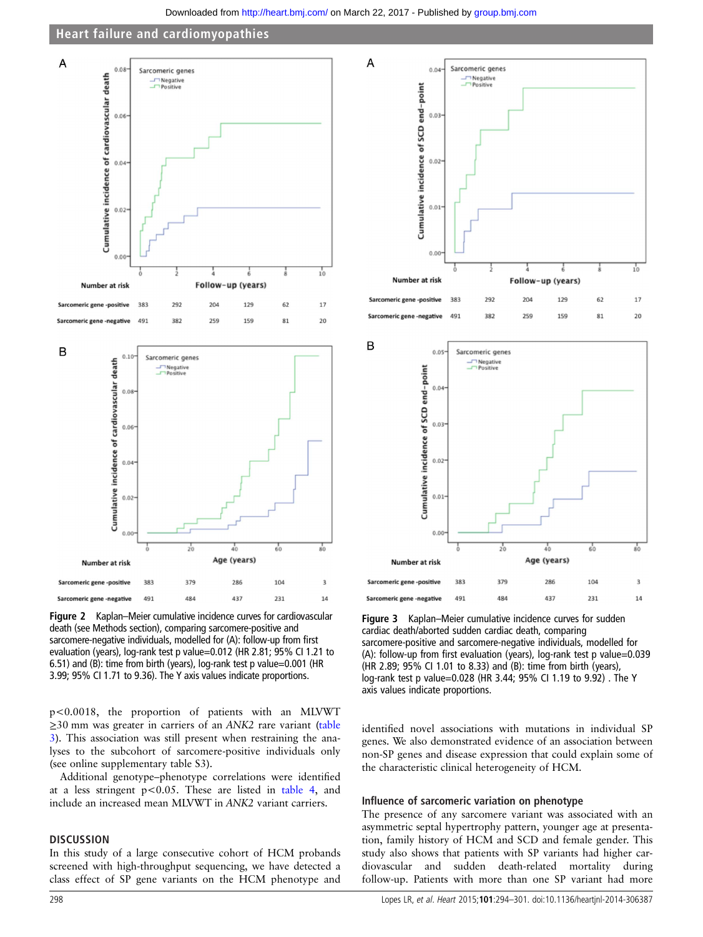Downloaded from<http://heart.bmj.com/>on March 22, 2017 - Published by [group.bmj.com](http://group.bmj.com)

# Heart failure and cardiomyopathies

<span id="page-4-0"></span>

Figure 2 Kaplan–Meier cumulative incidence curves for cardiovascular death (see Methods section), comparing sarcomere-positive and sarcomere-negative individuals, modelled for (A): follow-up from first evaluation (years), log-rank test p value=0.012 (HR 2.81; 95% CI 1.21 to 6.51) and (B): time from birth (years), log-rank test p value=0.001 (HR 3.99; 95% CI 1.71 to 9.36). The Y axis values indicate proportions.

p<0.0018, the proportion of patients with an MLVWT ≥30 mm was greater in carriers of an ANK2 rare variant [\(table](#page-5-0) [3\)](#page-5-0). This association was still present when restraining the analyses to the subcohort of sarcomere-positive individuals only (see online [supplementary table](http://heart.bmj.com/lookup/suppl/doi:10.1136/heartjnl-2014-306387/-/DC1) S3).

Additional genotype–phenotype correlations were identified at a less stringent  $p < 0.05$ . These are listed in [table 4](#page-5-0), and include an increased mean MLVWT in ANK2 variant carriers.

#### **DISCUSSION**

In this study of a large consecutive cohort of HCM probands screened with high-throughput sequencing, we have detected a class effect of SP gene variants on the HCM phenotype and





Figure 3 Kaplan–Meier cumulative incidence curves for sudden cardiac death/aborted sudden cardiac death, comparing sarcomere-positive and sarcomere-negative individuals, modelled for (A): follow-up from first evaluation (years), log-rank test p value=0.039 (HR 2.89; 95% CI 1.01 to 8.33) and (B): time from birth (years), log-rank test p value=0.028 (HR 3.44; 95% CI 1.19 to 9.92) . The Y axis values indicate proportions.

identified novel associations with mutations in individual SP genes. We also demonstrated evidence of an association between non-SP genes and disease expression that could explain some of the characteristic clinical heterogeneity of HCM.

#### Influence of sarcomeric variation on phenotype

The presence of any sarcomere variant was associated with an asymmetric septal hypertrophy pattern, younger age at presentation, family history of HCM and SCD and female gender. This study also shows that patients with SP variants had higher cardiovascular and sudden death-related mortality during follow-up. Patients with more than one SP variant had more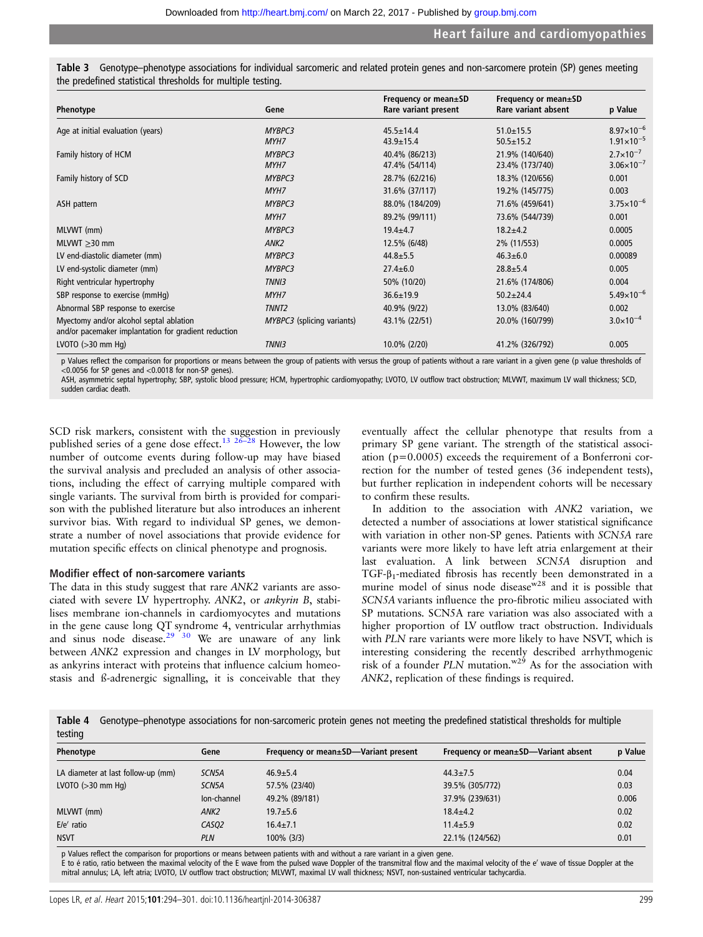| Phenotype                                                                                       | Gene                       | Frequency or mean±SD<br>Rare variant present | Frequency or mean±SD<br>Rare variant absent | p Value               |
|-------------------------------------------------------------------------------------------------|----------------------------|----------------------------------------------|---------------------------------------------|-----------------------|
| Age at initial evaluation (years)                                                               | MYBPC3                     | $45.5 \pm 14.4$                              | $51.0 \pm 15.5$                             | $8.97\times10^{-6}$   |
|                                                                                                 | MYH7                       | $43.9 \pm 15.4$                              | $50.5 \pm 15.2$                             | $1.91 \times 10^{-5}$ |
| Family history of HCM                                                                           | MYBPC3                     | 40.4% (86/213)                               | 21.9% (140/640)                             | $2.7 \times 10^{-7}$  |
|                                                                                                 | MYH7                       | 47.4% (54/114)                               | 23.4% (173/740)                             | $3.06 \times 10^{-7}$ |
| Family history of SCD                                                                           | MYBPC3                     | 28.7% (62/216)                               | 18.3% (120/656)                             | 0.001                 |
|                                                                                                 | MYH7                       | 31.6% (37/117)                               | 19.2% (145/775)                             | 0.003                 |
| ASH pattern                                                                                     | MYBPC3                     | 88.0% (184/209)                              | 71.6% (459/641)                             | $3.75 \times 10^{-6}$ |
|                                                                                                 | MYH7                       | 89.2% (99/111)                               | 73.6% (544/739)                             | 0.001                 |
| MLVWT (mm)                                                                                      | MYBPC3                     | $19.4 + 4.7$                                 | $18.2 + 4.2$                                | 0.0005                |
| MLVWT $\geq$ 30 mm                                                                              | ANK <sub>2</sub>           | 12.5% (6/48)                                 | 2% (11/553)                                 | 0.0005                |
| LV end-diastolic diameter (mm)                                                                  | MYBPC3                     | $44.8 \pm 5.5$                               | $46.3 \pm 6.0$                              | 0.00089               |
| LV end-systolic diameter (mm)                                                                   | MYBPC3                     | $27.4 \pm 6.0$                               | $28.8 \pm 5.4$                              | 0.005                 |
| Right ventricular hypertrophy                                                                   | TNNI3                      | 50% (10/20)                                  | 21.6% (174/806)                             | 0.004                 |
| SBP response to exercise (mmHq)                                                                 | MYH7                       | $36.6 \pm 19.9$                              | $50.2 \pm 24.4$                             | $5.49\times10^{-6}$   |
| Abnormal SBP response to exercise                                                               | TNNT <sub>2</sub>          | 40.9% (9/22)                                 | 13.0% (83/640)                              | 0.002                 |
| Myectomy and/or alcohol septal ablation<br>and/or pacemaker implantation for gradient reduction | MYBPC3 (splicing variants) | 43.1% (22/51)                                | 20.0% (160/799)                             | $3.0 \times 10^{-4}$  |
| LVOTO $(>30$ mm Hq)                                                                             | <b>TNNI3</b>               | 10.0% (2/20)                                 | 41.2% (326/792)                             | 0.005                 |

<span id="page-5-0"></span>Genotype–phenotype associations for individual sarcomeric and related protein genes and non-sarcomere protein (SP) genes meeting the predefined statistical thresholds for multiple testing.

Values reflect the comparison for proportions or means between the group of patients with versus the group of patients without a rare variant in a given gene (p value thresholds of <0.0056 for SP genes and <0.0018 for non-SP genes).

ASH, asymmetric septal hypertrophy; SBP, systolic blood pressure; HCM, hypertrophic cardiomyopathy; LVOTO, LV outflow tract obstruction; MLVWT, maximum LV wall thickness; SCD, sudden cardiac death.

SCD risk markers, consistent with the suggestion in previously published series of a gene dose effect.<sup>[13](#page-6-0) [26](#page-7-0)–28</sup> However, the low number of outcome events during follow-up may have biased the survival analysis and precluded an analysis of other associations, including the effect of carrying multiple compared with single variants. The survival from birth is provided for comparison with the published literature but also introduces an inherent survivor bias. With regard to individual SP genes, we demonstrate a number of novel associations that provide evidence for mutation specific effects on clinical phenotype and prognosis.

# Modifier effect of non-sarcomere variants

The data in this study suggest that rare ANK2 variants are associated with severe LV hypertrophy. ANK2, or ankyrin B, stabilises membrane ion-channels in cardiomyocytes and mutations in the gene cause long QT syndrome 4, ventricular arrhythmias and sinus node disease.<sup>[29 30](#page-7-0)</sup> We are unaware of any link between ANK2 expression and changes in LV morphology, but as ankyrins interact with proteins that influence calcium homeostasis and ß-adrenergic signalling, it is conceivable that they

eventually affect the cellular phenotype that results from a primary SP gene variant. The strength of the statistical association (p=0.0005) exceeds the requirement of a Bonferroni correction for the number of tested genes (36 independent tests), but further replication in independent cohorts will be necessary to confirm these results.

In addition to the association with ANK2 variation, we detected a number of associations at lower statistical significance with variation in other non-SP genes. Patients with SCN5A rare variants were more likely to have left atria enlargement at their last evaluation. A link between SCN5A disruption and TGF-β1-mediated fibrosis has recently been demonstrated in a murine model of sinus node disease  $x^{28}$  and it is possible that SCN5A variants influence the pro-fibrotic milieu associated with SP mutations. SCN5A rare variation was also associated with a higher proportion of LV outflow tract obstruction. Individuals with PLN rare variants were more likely to have NSVT, which is interesting considering the recently described arrhythmogenic risk of a founder  $PLN$  mutation.<sup>w29</sup> As for the association with ANK2, replication of these findings is required.

Table 4 Genotype–phenotype associations for non-sarcomeric protein genes not meeting the predefined statistical thresholds for multiple testing

| Phenotype                          | Gene               | Frequency or mean±SD—Variant present | Frequency or mean±SD—Variant absent | p Value |
|------------------------------------|--------------------|--------------------------------------|-------------------------------------|---------|
| LA diameter at last follow-up (mm) | SCN <sub>5</sub> A | $46.9 + 5.4$                         | $44.3 \pm 7.5$                      | 0.04    |
| LVOTO $(>30$ mm Hg)                | SCN <sub>5</sub> A | 57.5% (23/40)                        | 39.5% (305/772)                     | 0.03    |
|                                    | Ion-channel        | 49.2% (89/181)                       | 37.9% (239/631)                     | 0.006   |
| MLVWT (mm)                         | ANK <sub>2</sub>   | $19.7 \pm 5.6$                       | $18.4 + 4.2$                        | 0.02    |
| $E/e'$ ratio                       | CASO <sub>2</sub>  | $16.4 \pm 7.1$                       | $11.4 \pm 5.9$                      | 0.02    |
| <b>NSVT</b>                        | <b>PLN</b>         | 100% (3/3)                           | 22.1% (124/562)                     | 0.01    |
|                                    |                    |                                      |                                     |         |

p Values reflect the comparison for proportions or means between patients with and without a rare variant in a given gene.

E to é ratio, ratio between the maximal velocity of the E wave from the pulsed wave Doppler of the transmitral flow and the maximal velocity of the e' wave of tissue Doppler at the mitral annulus; LA, left atria; LVOTO, LV outflow tract obstruction; MLVWT, maximal LV wall thickness; NSVT, non-sustained ventricular tachycardia.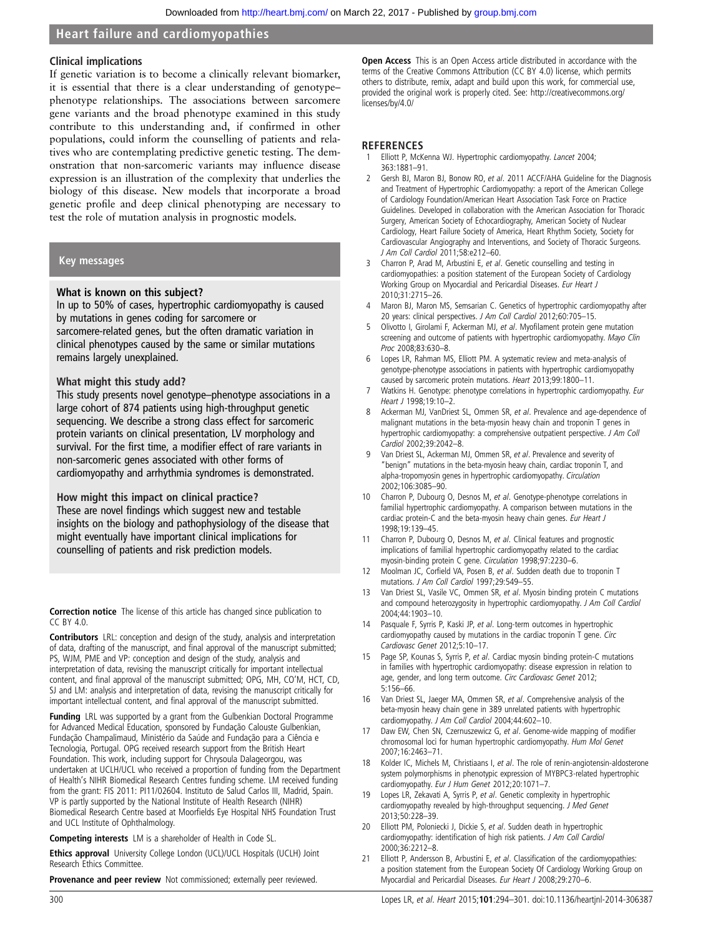#### <span id="page-6-0"></span>Clinical implications

If genetic variation is to become a clinically relevant biomarker, it is essential that there is a clear understanding of genotype– phenotype relationships. The associations between sarcomere gene variants and the broad phenotype examined in this study contribute to this understanding and, if confirmed in other populations, could inform the counselling of patients and relatives who are contemplating predictive genetic testing. The demonstration that non-sarcomeric variants may influence disease expression is an illustration of the complexity that underlies the biology of this disease. New models that incorporate a broad genetic profile and deep clinical phenotyping are necessary to test the role of mutation analysis in prognostic models.

#### Key messages

#### What is known on this subject?

In up to 50% of cases, hypertrophic cardiomyopathy is caused by mutations in genes coding for sarcomere or sarcomere-related genes, but the often dramatic variation in clinical phenotypes caused by the same or similar mutations remains largely unexplained.

#### What might this study add?

This study presents novel genotype–phenotype associations in a large cohort of 874 patients using high-throughput genetic sequencing. We describe a strong class effect for sarcomeric protein variants on clinical presentation, LV morphology and survival. For the first time, a modifier effect of rare variants in non-sarcomeric genes associated with other forms of cardiomyopathy and arrhythmia syndromes is demonstrated.

How might this impact on clinical practice?

These are novel findings which suggest new and testable insights on the biology and pathophysiology of the disease that might eventually have important clinical implications for counselling of patients and risk prediction models.

Correction notice The license of this article has changed since publication to  $CC$  BY  $4.0$ 

Contributors LRL: conception and design of the study, analysis and interpretation of data, drafting of the manuscript, and final approval of the manuscript submitted; PS, WJM, PME and VP: conception and design of the study, analysis and interpretation of data, revising the manuscript critically for important intellectual content, and final approval of the manuscript submitted; OPG, MH, CO'M, HCT, CD, SJ and LM: analysis and interpretation of data, revising the manuscript critically for important intellectual content, and final approval of the manuscript submitted.

Funding LRL was supported by a grant from the Gulbenkian Doctoral Programme for Advanced Medical Education, sponsored by Fundação Calouste Gulbenkian, Fundação Champalimaud, Ministério da Saúde and Fundação para a Ciência e Tecnologia, Portugal. OPG received research support from the British Heart Foundation. This work, including support for Chrysoula Dalageorgou, was undertaken at UCLH/UCL who received a proportion of funding from the Department of Health's NIHR Biomedical Research Centres funding scheme. LM received funding from the grant: FIS 2011: PI11/02604. Instituto de Salud Carlos III, Madrid, Spain. VP is partly supported by the National Institute of Health Research (NIHR) Biomedical Research Centre based at Moorfields Eye Hospital NHS Foundation Trust and UCL Institute of Ophthalmology.

Competing interests LM is a shareholder of Health in Code SL.

Ethics approval University College London (UCL)/UCL Hospitals (UCLH) Joint Research Ethics Committee.

**Provenance and peer review** Not commissioned; externally peer reviewed.

Open Access This is an Open Access article distributed in accordance with the terms of the Creative Commons Attribution (CC BY 4.0) license, which permits others to distribute, remix, adapt and build upon this work, for commercial use, provided the original work is properly cited. See: [http://creativecommons.org/](http://creativecommons.org/licenses/by-nc/4.0/) [licenses/by/4.0/](http://creativecommons.org/licenses/by-nc/4.0/)

#### **REFERENCES**

- Elliott P, McKenna WJ. Hypertrophic cardiomyopathy. Lancet 2004; 363:1881–91.
- Gersh BJ, Maron BJ, Bonow RO, et al. 2011 ACCF/AHA Guideline for the Diagnosis and Treatment of Hypertrophic Cardiomyopathy: a report of the American College of Cardiology Foundation/American Heart Association Task Force on Practice Guidelines. Developed in collaboration with the American Association for Thoracic Surgery, American Society of Echocardiography, American Society of Nuclear Cardiology, Heart Failure Society of America, Heart Rhythm Society, Society for Cardiovascular Angiography and Interventions, and Society of Thoracic Surgeons. J Am Coll Cardiol 2011;58:e212–60.
- 3 Charron P, Arad M, Arbustini E, et al. Genetic counselling and testing in cardiomyopathies: a position statement of the European Society of Cardiology Working Group on Myocardial and Pericardial Diseases. Eur Heart J 2010;31:2715–26.
- Maron BJ, Maron MS, Semsarian C. Genetics of hypertrophic cardiomyopathy after 20 years: clinical perspectives. J Am Coll Cardiol 2012;60:705–15.
- 5 Olivotto I, Girolami F, Ackerman MJ, et al. Myofilament protein gene mutation screening and outcome of patients with hypertrophic cardiomyopathy. Mayo Clin Proc 2008;83:630–8.
- 6 Lopes LR, Rahman MS, Elliott PM. A systematic review and meta-analysis of genotype-phenotype associations in patients with hypertrophic cardiomyopathy caused by sarcomeric protein mutations. Heart 2013;99:1800–11.
- Watkins H. Genotype: phenotype correlations in hypertrophic cardiomyopathy. Eur Heart J 1998;19:10–2.
- 8 Ackerman MJ, VanDriest SL, Ommen SR, et al. Prevalence and age-dependence of malignant mutations in the beta-myosin heavy chain and troponin T genes in hypertrophic cardiomyopathy: a comprehensive outpatient perspective. J Am Coll Cardiol 2002;39:2042–8.
- Van Driest SL, Ackerman MJ, Ommen SR, et al. Prevalence and severity of "benign" mutations in the beta-myosin heavy chain, cardiac troponin T, and alpha-tropomyosin genes in hypertrophic cardiomyopathy. Circulation 2002;106:3085–90.
- Charron P, Dubourg O, Desnos M, et al. Genotype-phenotype correlations in familial hypertrophic cardiomyopathy. A comparison between mutations in the cardiac protein-C and the beta-myosin heavy chain genes. Eur Heart J 1998;19:139–45.
- 11 Charron P, Dubourg O, Desnos M, et al. Clinical features and prognostic implications of familial hypertrophic cardiomyopathy related to the cardiac myosin-binding protein C gene. Circulation 1998;97:2230–6.
- 12 Moolman JC, Corfield VA, Posen B, et al. Sudden death due to troponin T mutations. J Am Coll Cardiol 1997;29:549–55.
- 13 Van Driest SL, Vasile VC, Ommen SR, et al. Myosin binding protein C mutations and compound heterozygosity in hypertrophic cardiomyopathy. J Am Coll Cardiol 2004;44:1903–10.
- 14 Pasquale F, Syrris P, Kaski JP, et al. Long-term outcomes in hypertrophic cardiomyopathy caused by mutations in the cardiac troponin T gene. Circ Cardiovasc Genet 2012;5:10–17.
- 15 Page SP, Kounas S, Syrris P, et al. Cardiac myosin binding protein-C mutations in families with hypertrophic cardiomyopathy: disease expression in relation to age, gender, and long term outcome. Circ Cardiovasc Genet 2012; 5:156–66.
- 16 Van Driest SL, Jaeger MA, Ommen SR, et al. Comprehensive analysis of the beta-myosin heavy chain gene in 389 unrelated patients with hypertrophic cardiomyopathy. J Am Coll Cardiol 2004;44:602–10.
- 17 Daw EW, Chen SN, Czernuszewicz G, et al. Genome-wide mapping of modifier chromosomal loci for human hypertrophic cardiomyopathy. Hum Mol Genet 2007;16:2463–71.
- 18 Kolder IC, Michels M, Christiaans I, et al. The role of renin-angiotensin-aldosterone system polymorphisms in phenotypic expression of MYBPC3-related hypertrophic cardiomyopathy. Eur J Hum Genet 2012;20:1071–7.
- 19 Lopes LR, Zekavati A, Syrris P, et al. Genetic complexity in hypertrophic cardiomyopathy revealed by high-throughput sequencing. J Med Genet 2013;50:228–39.
- 20 Elliott PM, Poloniecki J, Dickie S, et al. Sudden death in hypertrophic cardiomyopathy: identification of high risk patients. J Am Coll Cardiol 2000;36:2212–8.
- Elliott P, Andersson B, Arbustini E, et al. Classification of the cardiomyopathies: a position statement from the European Society Of Cardiology Working Group on Myocardial and Pericardial Diseases. Eur Heart J 2008;29:270–6.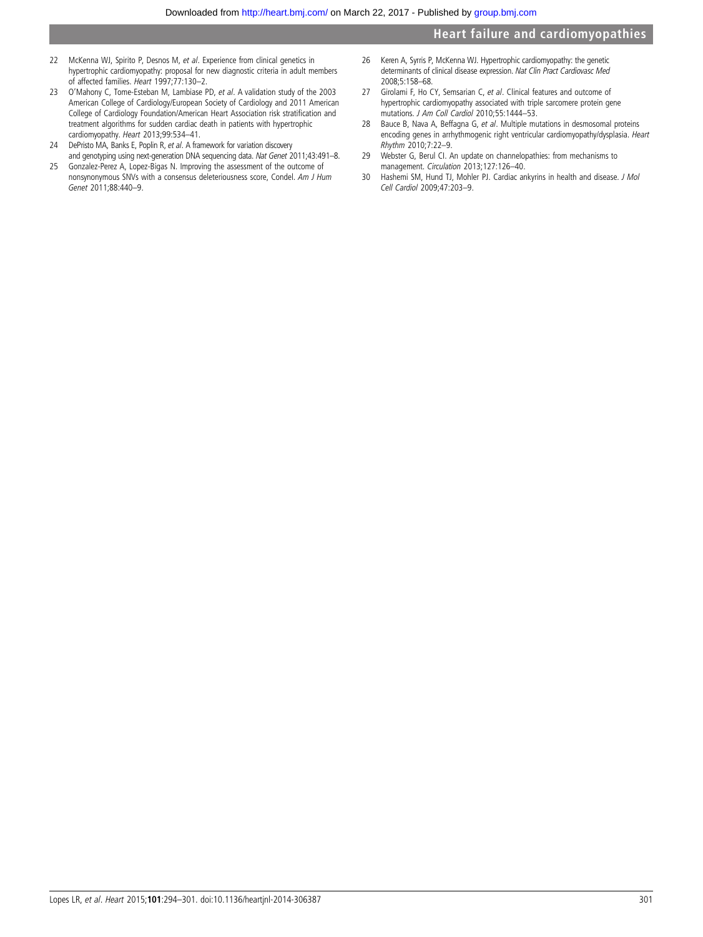- <span id="page-7-0"></span>22 McKenna WJ, Spirito P, Desnos M, et al. Experience from clinical genetics in hypertrophic cardiomyopathy: proposal for new diagnostic criteria in adult members of affected families. Heart 1997;77:130–2.
- 23 O'Mahony C, Tome-Esteban M, Lambiase PD, et al. A validation study of the 2003 American College of Cardiology/European Society of Cardiology and 2011 American College of Cardiology Foundation/American Heart Association risk stratification and treatment algorithms for sudden cardiac death in patients with hypertrophic cardiomyopathy. Heart 2013;99:534–41.
- 24 DePristo MA, Banks E, Poplin R, et al. A framework for variation discovery and genotyping using next-generation DNA sequencing data. Nat Genet 2011;43:491–8.
- 25 Gonzalez-Perez A, Lopez-Bigas N. Improving the assessment of the outcome of nonsynonymous SNVs with a consensus deleteriousness score, Condel. Am J Hum Genet 2011;88:440–9.
- 26 Keren A, Syrris P, McKenna WJ. Hypertrophic cardiomyopathy: the genetic determinants of clinical disease expression. Nat Clin Pract Cardiovasc Med 2008;5:158–68.
- 27 Girolami F, Ho CY, Semsarian C, et al. Clinical features and outcome of hypertrophic cardiomyopathy associated with triple sarcomere protein gene mutations. J Am Coll Cardiol 2010;55:1444–53.
- 28 Bauce B, Nava A, Beffagna G, et al. Multiple mutations in desmosomal proteins encoding genes in arrhythmogenic right ventricular cardiomyopathy/dysplasia. Heart Rhythm 2010;7:22–9.
- 29 Webster G, Berul CI. An update on channelopathies: from mechanisms to management. Circulation 2013;127:126–40.
- 30 Hashemi SM, Hund TJ, Mohler PJ. Cardiac ankyrins in health and disease. J Mol Cell Cardiol 2009;47:203–9.